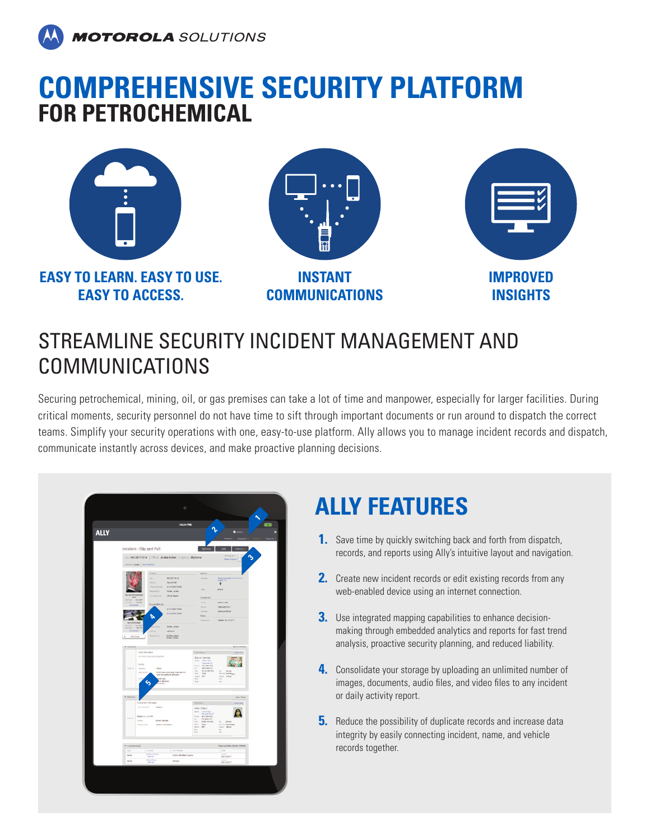

### **COMPREHENSIVE SECURITY PLATFORM FOR PETROCHEMICAL**



**EASY TO LEARN. EASY TO USE. EASY TO ACCESS.**



**COMMUNICATIONS**



#### STREAMLINE SECURITY INCIDENT MANAGEMENT AND COMMUNICATIONS

Securing petrochemical, mining, oil, or gas premises can take a lot of time and manpower, especially for larger facilities. During critical moments, security personnel do not have time to sift through important documents or run around to dispatch the correct teams. Simplify your security operations with one, easy-to-use platform. Ally allows you to manage incident records and dispatch, communicate instantly across devices, and make proactive planning decisions.

| 14:30 PM<br>r<br><b>B</b> Punck<br>Incident - Slip and Fall<br>Viewing / of 1<br>¢<br>Key INC-2017-01-6   Officer Jordan Kohler   Agency AllyDemo<br><b>Belan to Grant</b><br>instruction Closed   Unit invision<br>atten.<br><b>ISLAND</b><br>my.<br><b>ACCORDIA</b><br>AGEN<br>Pahlanding<br>College, TX<br>Spectal<br><b>SEZA</b><br>$\ddot{\mathbf{Q}}$<br><b>UVERBEFORM</b><br><b><i>Union Statements</i></b><br>Area<br>$n + 1$<br><b>Bone(B)</b><br>Kilder, Jorden<br><b>Officer Feger</b><br><b><i><u>Production</u></i></b><br>domplehant<br><b>SER</b><br><b>Tarry</b><br>Dallin, July<br><b>Governo Behin</b><br><b>Hiris</b><br>(380-4657877)<br>inchain was<br>All Farmer<br><b>Direct Bad</b><br><b><i>UNITED</i></b> USE<br><b>Title</b><br>r<br><b>Over-EVERYT</b><br><b>Quasings</b><br><b>Kohler, Jordan</b><br>$\sim$<br>specy<br>inpens<br>-<br>Durking action<br>Attimage<br><b>None</b><br>π<br>Brown Parkers<br>Victoria dismistant<br><b>Book fort</b><br>Vibiliare.<br>no incore internation specified<br><b>Brook Fame's</b><br>Here 19811941<br>The Monday<br>Hyres.<br><b>VIDER</b><br>Stretly<br><b>Mine</b><br>$\mathbb{R}$<br><b>WHEELMAN</b><br>com cerqinet po-<br><b>Fernik</b><br>Description<br>trates has some arear road-out-on.<br>Just the right and left hand<br>$\frac{1+\epsilon}{1+\epsilon}$ . With<br>ENCE MARGAR<br>at Eula<br>E<br>a absence<br><b>Section</b><br>Ò<br>of an<br>$=$ 07m1(1)<br><b>Alan Owy</b><br><b>Independent</b><br>Distant<br><b>BAMTEL</b><br>Film Terrifield<br><b>UTOPER</b><br>Alen Cheryl<br>ð<br><b>HODES</b> (STR.R.)<br>triand<br>same<br><b>Drony Fames</b><br>Senas<br>÷<br>testenny<br>Virtue a Co Home<br><b>Form</b><br>1000<br>Enterty Bandhas<br>Terper - Gilden<br>Non. Bit<br>E<br>$\sim$<br>$\sim$<br>Valence & Many Vijarieri, Victoria<br>· Instancia @<br>Type <sup>1</sup><br><b>Com</b><br>inster.<br>Liqui Related<br><b>Broad Famely</b><br>Aarie<br>Victor with Alleer Injuries<br><b>BOVER</b><br>Ales Dard<br>hare<br>mineer<br>1974/207 |             | $\circ$ |  |  |  |             |  |
|-------------------------------------------------------------------------------------------------------------------------------------------------------------------------------------------------------------------------------------------------------------------------------------------------------------------------------------------------------------------------------------------------------------------------------------------------------------------------------------------------------------------------------------------------------------------------------------------------------------------------------------------------------------------------------------------------------------------------------------------------------------------------------------------------------------------------------------------------------------------------------------------------------------------------------------------------------------------------------------------------------------------------------------------------------------------------------------------------------------------------------------------------------------------------------------------------------------------------------------------------------------------------------------------------------------------------------------------------------------------------------------------------------------------------------------------------------------------------------------------------------------------------------------------------------------------------------------------------------------------------------------------------------------------------------------------------------------------------------------------------------------------------------------------------------------------------------------------------------------------------------------------------------------------------------------------------------------------------------------------------------------------------------------------|-------------|---------|--|--|--|-------------|--|
|                                                                                                                                                                                                                                                                                                                                                                                                                                                                                                                                                                                                                                                                                                                                                                                                                                                                                                                                                                                                                                                                                                                                                                                                                                                                                                                                                                                                                                                                                                                                                                                                                                                                                                                                                                                                                                                                                                                                                                                                                                           |             |         |  |  |  | <b>GRID</b> |  |
|                                                                                                                                                                                                                                                                                                                                                                                                                                                                                                                                                                                                                                                                                                                                                                                                                                                                                                                                                                                                                                                                                                                                                                                                                                                                                                                                                                                                                                                                                                                                                                                                                                                                                                                                                                                                                                                                                                                                                                                                                                           | <b>ALLY</b> |         |  |  |  |             |  |
|                                                                                                                                                                                                                                                                                                                                                                                                                                                                                                                                                                                                                                                                                                                                                                                                                                                                                                                                                                                                                                                                                                                                                                                                                                                                                                                                                                                                                                                                                                                                                                                                                                                                                                                                                                                                                                                                                                                                                                                                                                           |             |         |  |  |  |             |  |
|                                                                                                                                                                                                                                                                                                                                                                                                                                                                                                                                                                                                                                                                                                                                                                                                                                                                                                                                                                                                                                                                                                                                                                                                                                                                                                                                                                                                                                                                                                                                                                                                                                                                                                                                                                                                                                                                                                                                                                                                                                           |             |         |  |  |  |             |  |
|                                                                                                                                                                                                                                                                                                                                                                                                                                                                                                                                                                                                                                                                                                                                                                                                                                                                                                                                                                                                                                                                                                                                                                                                                                                                                                                                                                                                                                                                                                                                                                                                                                                                                                                                                                                                                                                                                                                                                                                                                                           |             |         |  |  |  |             |  |
|                                                                                                                                                                                                                                                                                                                                                                                                                                                                                                                                                                                                                                                                                                                                                                                                                                                                                                                                                                                                                                                                                                                                                                                                                                                                                                                                                                                                                                                                                                                                                                                                                                                                                                                                                                                                                                                                                                                                                                                                                                           |             |         |  |  |  |             |  |
|                                                                                                                                                                                                                                                                                                                                                                                                                                                                                                                                                                                                                                                                                                                                                                                                                                                                                                                                                                                                                                                                                                                                                                                                                                                                                                                                                                                                                                                                                                                                                                                                                                                                                                                                                                                                                                                                                                                                                                                                                                           |             |         |  |  |  |             |  |
|                                                                                                                                                                                                                                                                                                                                                                                                                                                                                                                                                                                                                                                                                                                                                                                                                                                                                                                                                                                                                                                                                                                                                                                                                                                                                                                                                                                                                                                                                                                                                                                                                                                                                                                                                                                                                                                                                                                                                                                                                                           |             |         |  |  |  |             |  |
|                                                                                                                                                                                                                                                                                                                                                                                                                                                                                                                                                                                                                                                                                                                                                                                                                                                                                                                                                                                                                                                                                                                                                                                                                                                                                                                                                                                                                                                                                                                                                                                                                                                                                                                                                                                                                                                                                                                                                                                                                                           |             |         |  |  |  |             |  |
|                                                                                                                                                                                                                                                                                                                                                                                                                                                                                                                                                                                                                                                                                                                                                                                                                                                                                                                                                                                                                                                                                                                                                                                                                                                                                                                                                                                                                                                                                                                                                                                                                                                                                                                                                                                                                                                                                                                                                                                                                                           |             |         |  |  |  |             |  |
|                                                                                                                                                                                                                                                                                                                                                                                                                                                                                                                                                                                                                                                                                                                                                                                                                                                                                                                                                                                                                                                                                                                                                                                                                                                                                                                                                                                                                                                                                                                                                                                                                                                                                                                                                                                                                                                                                                                                                                                                                                           |             |         |  |  |  |             |  |
|                                                                                                                                                                                                                                                                                                                                                                                                                                                                                                                                                                                                                                                                                                                                                                                                                                                                                                                                                                                                                                                                                                                                                                                                                                                                                                                                                                                                                                                                                                                                                                                                                                                                                                                                                                                                                                                                                                                                                                                                                                           |             |         |  |  |  |             |  |
|                                                                                                                                                                                                                                                                                                                                                                                                                                                                                                                                                                                                                                                                                                                                                                                                                                                                                                                                                                                                                                                                                                                                                                                                                                                                                                                                                                                                                                                                                                                                                                                                                                                                                                                                                                                                                                                                                                                                                                                                                                           |             |         |  |  |  |             |  |
|                                                                                                                                                                                                                                                                                                                                                                                                                                                                                                                                                                                                                                                                                                                                                                                                                                                                                                                                                                                                                                                                                                                                                                                                                                                                                                                                                                                                                                                                                                                                                                                                                                                                                                                                                                                                                                                                                                                                                                                                                                           |             |         |  |  |  |             |  |
|                                                                                                                                                                                                                                                                                                                                                                                                                                                                                                                                                                                                                                                                                                                                                                                                                                                                                                                                                                                                                                                                                                                                                                                                                                                                                                                                                                                                                                                                                                                                                                                                                                                                                                                                                                                                                                                                                                                                                                                                                                           |             |         |  |  |  |             |  |
|                                                                                                                                                                                                                                                                                                                                                                                                                                                                                                                                                                                                                                                                                                                                                                                                                                                                                                                                                                                                                                                                                                                                                                                                                                                                                                                                                                                                                                                                                                                                                                                                                                                                                                                                                                                                                                                                                                                                                                                                                                           |             |         |  |  |  |             |  |
|                                                                                                                                                                                                                                                                                                                                                                                                                                                                                                                                                                                                                                                                                                                                                                                                                                                                                                                                                                                                                                                                                                                                                                                                                                                                                                                                                                                                                                                                                                                                                                                                                                                                                                                                                                                                                                                                                                                                                                                                                                           |             |         |  |  |  |             |  |
|                                                                                                                                                                                                                                                                                                                                                                                                                                                                                                                                                                                                                                                                                                                                                                                                                                                                                                                                                                                                                                                                                                                                                                                                                                                                                                                                                                                                                                                                                                                                                                                                                                                                                                                                                                                                                                                                                                                                                                                                                                           |             |         |  |  |  |             |  |
|                                                                                                                                                                                                                                                                                                                                                                                                                                                                                                                                                                                                                                                                                                                                                                                                                                                                                                                                                                                                                                                                                                                                                                                                                                                                                                                                                                                                                                                                                                                                                                                                                                                                                                                                                                                                                                                                                                                                                                                                                                           |             |         |  |  |  |             |  |
|                                                                                                                                                                                                                                                                                                                                                                                                                                                                                                                                                                                                                                                                                                                                                                                                                                                                                                                                                                                                                                                                                                                                                                                                                                                                                                                                                                                                                                                                                                                                                                                                                                                                                                                                                                                                                                                                                                                                                                                                                                           |             |         |  |  |  |             |  |
|                                                                                                                                                                                                                                                                                                                                                                                                                                                                                                                                                                                                                                                                                                                                                                                                                                                                                                                                                                                                                                                                                                                                                                                                                                                                                                                                                                                                                                                                                                                                                                                                                                                                                                                                                                                                                                                                                                                                                                                                                                           |             |         |  |  |  |             |  |
|                                                                                                                                                                                                                                                                                                                                                                                                                                                                                                                                                                                                                                                                                                                                                                                                                                                                                                                                                                                                                                                                                                                                                                                                                                                                                                                                                                                                                                                                                                                                                                                                                                                                                                                                                                                                                                                                                                                                                                                                                                           |             |         |  |  |  |             |  |
|                                                                                                                                                                                                                                                                                                                                                                                                                                                                                                                                                                                                                                                                                                                                                                                                                                                                                                                                                                                                                                                                                                                                                                                                                                                                                                                                                                                                                                                                                                                                                                                                                                                                                                                                                                                                                                                                                                                                                                                                                                           |             |         |  |  |  |             |  |
|                                                                                                                                                                                                                                                                                                                                                                                                                                                                                                                                                                                                                                                                                                                                                                                                                                                                                                                                                                                                                                                                                                                                                                                                                                                                                                                                                                                                                                                                                                                                                                                                                                                                                                                                                                                                                                                                                                                                                                                                                                           |             |         |  |  |  |             |  |
|                                                                                                                                                                                                                                                                                                                                                                                                                                                                                                                                                                                                                                                                                                                                                                                                                                                                                                                                                                                                                                                                                                                                                                                                                                                                                                                                                                                                                                                                                                                                                                                                                                                                                                                                                                                                                                                                                                                                                                                                                                           |             |         |  |  |  |             |  |
|                                                                                                                                                                                                                                                                                                                                                                                                                                                                                                                                                                                                                                                                                                                                                                                                                                                                                                                                                                                                                                                                                                                                                                                                                                                                                                                                                                                                                                                                                                                                                                                                                                                                                                                                                                                                                                                                                                                                                                                                                                           |             |         |  |  |  |             |  |
|                                                                                                                                                                                                                                                                                                                                                                                                                                                                                                                                                                                                                                                                                                                                                                                                                                                                                                                                                                                                                                                                                                                                                                                                                                                                                                                                                                                                                                                                                                                                                                                                                                                                                                                                                                                                                                                                                                                                                                                                                                           |             |         |  |  |  |             |  |
|                                                                                                                                                                                                                                                                                                                                                                                                                                                                                                                                                                                                                                                                                                                                                                                                                                                                                                                                                                                                                                                                                                                                                                                                                                                                                                                                                                                                                                                                                                                                                                                                                                                                                                                                                                                                                                                                                                                                                                                                                                           |             |         |  |  |  |             |  |
|                                                                                                                                                                                                                                                                                                                                                                                                                                                                                                                                                                                                                                                                                                                                                                                                                                                                                                                                                                                                                                                                                                                                                                                                                                                                                                                                                                                                                                                                                                                                                                                                                                                                                                                                                                                                                                                                                                                                                                                                                                           |             |         |  |  |  |             |  |
|                                                                                                                                                                                                                                                                                                                                                                                                                                                                                                                                                                                                                                                                                                                                                                                                                                                                                                                                                                                                                                                                                                                                                                                                                                                                                                                                                                                                                                                                                                                                                                                                                                                                                                                                                                                                                                                                                                                                                                                                                                           |             |         |  |  |  |             |  |
|                                                                                                                                                                                                                                                                                                                                                                                                                                                                                                                                                                                                                                                                                                                                                                                                                                                                                                                                                                                                                                                                                                                                                                                                                                                                                                                                                                                                                                                                                                                                                                                                                                                                                                                                                                                                                                                                                                                                                                                                                                           |             |         |  |  |  |             |  |
|                                                                                                                                                                                                                                                                                                                                                                                                                                                                                                                                                                                                                                                                                                                                                                                                                                                                                                                                                                                                                                                                                                                                                                                                                                                                                                                                                                                                                                                                                                                                                                                                                                                                                                                                                                                                                                                                                                                                                                                                                                           |             |         |  |  |  |             |  |
|                                                                                                                                                                                                                                                                                                                                                                                                                                                                                                                                                                                                                                                                                                                                                                                                                                                                                                                                                                                                                                                                                                                                                                                                                                                                                                                                                                                                                                                                                                                                                                                                                                                                                                                                                                                                                                                                                                                                                                                                                                           |             |         |  |  |  |             |  |
|                                                                                                                                                                                                                                                                                                                                                                                                                                                                                                                                                                                                                                                                                                                                                                                                                                                                                                                                                                                                                                                                                                                                                                                                                                                                                                                                                                                                                                                                                                                                                                                                                                                                                                                                                                                                                                                                                                                                                                                                                                           |             |         |  |  |  |             |  |
|                                                                                                                                                                                                                                                                                                                                                                                                                                                                                                                                                                                                                                                                                                                                                                                                                                                                                                                                                                                                                                                                                                                                                                                                                                                                                                                                                                                                                                                                                                                                                                                                                                                                                                                                                                                                                                                                                                                                                                                                                                           |             |         |  |  |  |             |  |
|                                                                                                                                                                                                                                                                                                                                                                                                                                                                                                                                                                                                                                                                                                                                                                                                                                                                                                                                                                                                                                                                                                                                                                                                                                                                                                                                                                                                                                                                                                                                                                                                                                                                                                                                                                                                                                                                                                                                                                                                                                           |             |         |  |  |  |             |  |
|                                                                                                                                                                                                                                                                                                                                                                                                                                                                                                                                                                                                                                                                                                                                                                                                                                                                                                                                                                                                                                                                                                                                                                                                                                                                                                                                                                                                                                                                                                                                                                                                                                                                                                                                                                                                                                                                                                                                                                                                                                           |             |         |  |  |  |             |  |
|                                                                                                                                                                                                                                                                                                                                                                                                                                                                                                                                                                                                                                                                                                                                                                                                                                                                                                                                                                                                                                                                                                                                                                                                                                                                                                                                                                                                                                                                                                                                                                                                                                                                                                                                                                                                                                                                                                                                                                                                                                           |             |         |  |  |  |             |  |

### **ALLY FEATURES**

- 1. Save time by quickly switching back and forth from dispatch, records, and reports using Ally's intuitive layout and navigation.
- **2.** Create new incident records or edit existing records from any web-enabled device using an internet connection.
- Use integrated mapping capabilities to enhance decision-**3.** making through embedded analytics and reports for fast trend analysis, proactive security planning, and reduced liability.
- Consolidate your storage by uploading an unlimited number of **4.** images, documents, audio files, and video files to any incident or daily activity report.
- **5.** Reduce the possibility of duplicate records and increase data integrity by easily connecting incident, name, and vehicle records together.